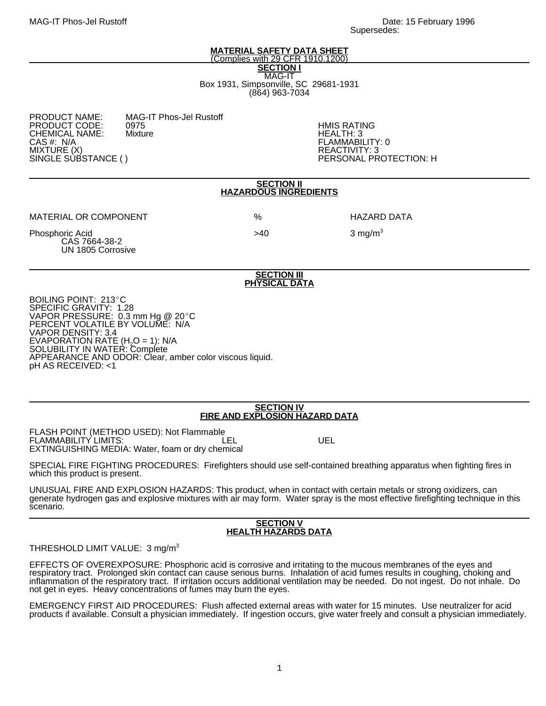#### **MATERIAL SAFETY DATA SHEET** (Complies with 29 CFR 1910.1200)

**SECTION I**

MAG-IT Box 1931, Simpsonville, SC 29681-1931 (864) 963-7034

| <b>PRODUCT NAME:</b>               | м  |
|------------------------------------|----|
| <b>PRODUCT CODE:</b>               | 09 |
| <b>CHEMICAL NAME:</b>              | м  |
| CAS #: N/A                         |    |
|                                    |    |
| MIXTURE (X)<br>SINGLE SUBSTANCE () |    |
|                                    |    |

IAG-IT Phos-Jel Rustoff<br>975 PRODUCT CODE: 0975 HMIS RATING

HEALTH: 3 FLAMMABILITY: 0 REACTIVITY: 3 PERSONAL PROTECTION: H

#### **SECTION II HAZARDOUS INGREDIENTS**

MATERIAL OR COMPONENT % HAZARD DATA

Phosphoric Acid 3 mg/m<sup>3</sup> CAS 7664-38-2 UN 1805 Corrosive

**SECTION III PHYSICAL DATA**

BOILING POINT: 213°C SPECIFIC GRAVITY: 1.28 VAPOR PRESSURE: 0.3 mm Hg  $@$  20 $°C$ PERCENT VOLATILE BY VOLUME: N/A VAPOR DENSITY: 3.4 EVAPORATION RATE (H<sub>2</sub>O = 1): N/A<br>SOLUBILITY IN WATER: Complete APPEARANCE AND ODOR: Clear, amber color viscous liquid. pH AS RECEIVED: <1

## **SECTION IV FIRE AND EXPLOSION HAZARD DATA**

FLASH POINT (METHOD USED): Not Flammable FLAMMABILITY LIMITS: The Contract of the LEL UEL EXTINGUISHING MEDIA: Water, foam or dry chemical

SPECIAL FIRE FIGHTING PROCEDURES: Firefighters should use self-contained breathing apparatus when fighting fires in which this product is present.

UNUSUAL FIRE AND EXPLOSION HAZARDS: This product, when in contact with certain metals or strong oxidizers, can generate hydrogen gas and explosive mixtures with air may form. Water spray is the most effective firefighting technique in this scenario.

## **SECTION V HEALTH HAZARDS DATA**

# THRESHOLD LIMIT VALUE: 3 mg/m<sup>3</sup>

EFFECTS OF OVEREXPOSURE: Phosphoric acid is corrosive and irritating to the mucous membranes of the eyes and respiratory tract. Prolonged skin contact can cause serious burns. Inhalation of acid fumes results in coughing, choking and inflammation of the respiratory tract. If irritation occurs additional ventilation may be needed. Do not ingest. Do not inhale. Do not get in eyes. Heavy concentrations of fumes may burn the eyes.

EMERGENCY FIRST AID PROCEDURES: Flush affected external areas with water for 15 minutes. Use neutralizer for acid products if available. Consult a physician immediately. If ingestion occurs, give water freely and consult a physician immediately.